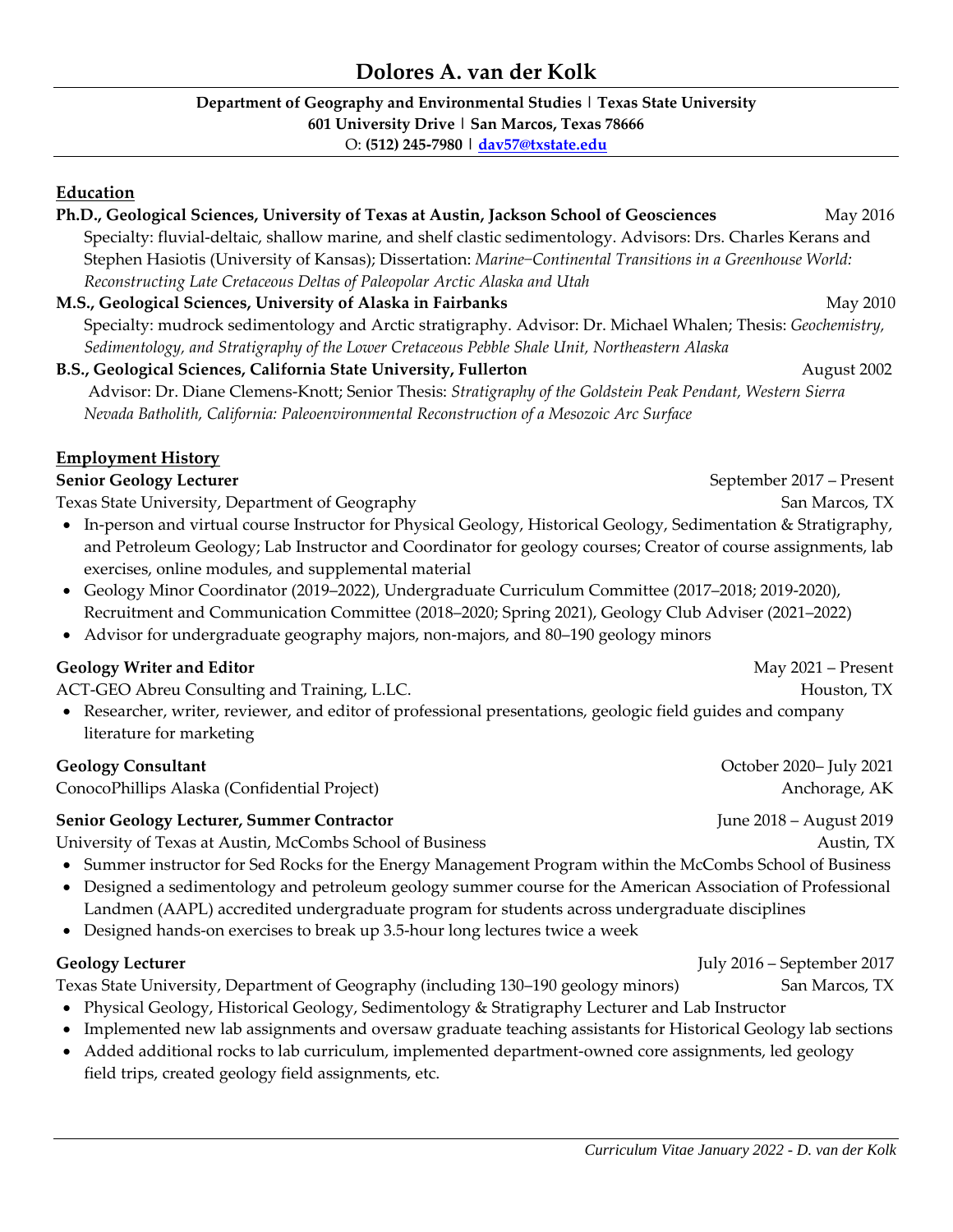#### **Department of Geography and Environmental Studies | Texas State University 601 University Drive | San Marcos, Texas 78666** O: **(512) [245-7980](mailto:512)%20245-7980) | [dav57@txstate.edu](mailto:dav57@txstate.edu)**

#### **Education**

| Ph.D., Geological Sciences, University of Texas at Austin, Jackson School of Geosciences                                     | May 2016                 |  |  |  |
|------------------------------------------------------------------------------------------------------------------------------|--------------------------|--|--|--|
| Specialty: fluvial-deltaic, shallow marine, and shelf clastic sedimentology. Advisors: Drs. Charles Kerans and               |                          |  |  |  |
| Stephen Hasiotis (University of Kansas); Dissertation: Marine-Continental Transitions in a Greenhouse World:                 |                          |  |  |  |
| Reconstructing Late Cretaceous Deltas of Paleopolar Arctic Alaska and Utah                                                   |                          |  |  |  |
| M.S., Geological Sciences, University of Alaska in Fairbanks                                                                 | May 2010                 |  |  |  |
| Specialty: mudrock sedimentology and Arctic stratigraphy. Advisor: Dr. Michael Whalen; Thesis: Geochemistry,                 |                          |  |  |  |
| Sedimentology, and Stratigraphy of the Lower Cretaceous Pebble Shale Unit, Northeastern Alaska                               |                          |  |  |  |
| B.S., Geological Sciences, California State University, Fullerton                                                            | August 2002              |  |  |  |
| Advisor: Dr. Diane Clemens-Knott; Senior Thesis: Stratigraphy of the Goldstein Peak Pendant, Western Sierra                  |                          |  |  |  |
| Nevada Batholith, California: Paleoenvironmental Reconstruction of a Mesozoic Arc Surface                                    |                          |  |  |  |
| <b>Employment History</b>                                                                                                    |                          |  |  |  |
| <b>Senior Geology Lecturer</b>                                                                                               | September 2017 – Present |  |  |  |
| Texas State University, Department of Geography                                                                              | San Marcos, TX           |  |  |  |
| In-person and virtual course Instructor for Physical Geology, Historical Geology, Sedimentation & Stratigraphy,<br>$\bullet$ |                          |  |  |  |
| and Petroleum Geology; Lab Instructor and Coordinator for geology courses; Creator of course assignments, lab                |                          |  |  |  |
| exercises, online modules, and supplemental material                                                                         |                          |  |  |  |
|                                                                                                                              |                          |  |  |  |

- Geology Minor Coordinator (2019–2022), Undergraduate Curriculum Committee (2017–2018; 2019-2020), Recruitment and Communication Committee (2018–2020; Spring 2021), Geology Club Adviser (2021–2022)
- Advisor for undergraduate geography majors, non-majors, and 80–190 geology minors

## **Geology Writer and Editor** May 2021 – Present

ACT-GEO Abreu Consulting and Training, L.LC.Houston, TX

• Researcher, writer, reviewer, and editor of professional presentations, geologic field guides and company literature for marketing

## **Geology Consultant** October 2020– July 2021

ConocoPhillips Alaska (Confidential Project) and Anchorage, AK anchorage, AK

## **Senior Geology Lecturer, Summer Contractor** June 2018 – August 2019

University of Texas at Austin, McCombs School of Business Austin, TX Austin, TX

- Summer instructor for Sed Rocks for the Energy Management Program within the McCombs School of Business
- Designed a sedimentology and petroleum geology summer course for the American Association of Professional Landmen (AAPL) accredited undergraduate program for students across undergraduate disciplines
- Designed hands-on exercises to break up 3.5-hour long lectures twice a week

Texas State University, Department of Geography (including 130–190 geology minors) San Marcos, TX

- Physical Geology, Historical Geology, Sedimentology & Stratigraphy Lecturer and Lab Instructor
- Implemented new lab assignments and oversaw graduate teaching assistants for Historical Geology lab sections
- Added additional rocks to lab curriculum, implemented department-owned core assignments, led geology field trips, created geology field assignments, etc.

**Geology Lecturer** July 2016 – September 2017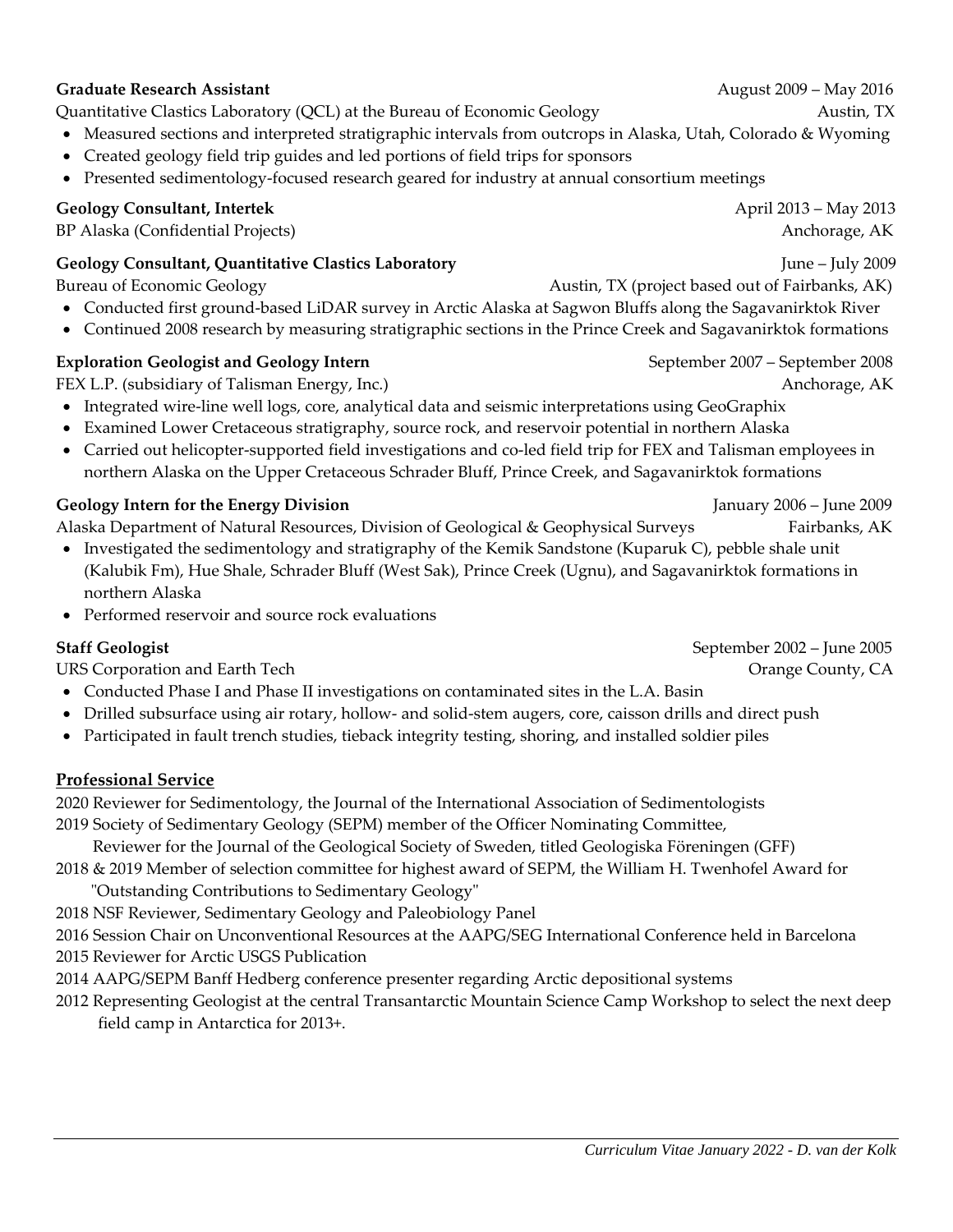# **Graduate Research Assistant** August 2009 – May 2016

Quantitative Clastics Laboratory (QCL) at the Bureau of Economic Geology Austin, TX

- Measured sections and interpreted stratigraphic intervals from outcrops in Alaska, Utah, Colorado & Wyoming
- Created geology field trip guides and led portions of field trips for sponsors
- Presented sedimentology-focused research geared for industry at annual consortium meetings

# **Geology Consultant, Intertek** April 2013 – May 2013

BP Alaska (Confidential Projects)Anchorage, AK

## **Geology Consultant, Quantitative Clastics Laboratory** June – July 2009

- Conducted first ground-based LiDAR survey in Arctic Alaska at Sagwon Bluffs along the Sagavanirktok River
- Continued 2008 research by measuring stratigraphic sections in the Prince Creek and Sagavanirktok formations

# **Exploration Geologist and Geology Intern <b>September 2007** – September 2007 – September 2008

FEX L.P. (subsidiary of Talisman Energy, Inc.) *Anchorage, AK* **Anchorage, AK** 

- Integrated wire-line well logs, core, analytical data and seismic interpretations using GeoGraphix
- Examined Lower Cretaceous stratigraphy, source rock, and reservoir potential in northern Alaska
- Carried out helicopter-supported field investigations and co-led field trip for FEX and Talisman employees in northern Alaska on the Upper Cretaceous Schrader Bluff, Prince Creek, and Sagavanirktok formations

# **Geology Intern for the Energy Division** January 2006 – June 2009

Alaska Department of Natural Resources, Division of Geological & Geophysical Surveys Fairbanks, AK

- Investigated the sedimentology and stratigraphy of the Kemik Sandstone (Kuparuk C), pebble shale unit (Kalubik Fm), Hue Shale, Schrader Bluff (West Sak), Prince Creek (Ugnu), and Sagavanirktok formations in northern Alaska
- Performed reservoir and source rock evaluations

URS Corporation and Earth Tech **Orange County, CA** 

- Conducted Phase I and Phase II investigations on contaminated sites in the L.A. Basin
- Drilled subsurface using air rotary, hollow- and solid-stem augers, core, caisson drills and direct push
- Participated in fault trench studies, tieback integrity testing, shoring, and installed soldier piles

# **Professional Service**

2020 Reviewer for Sedimentology, the Journal of the International Association of Sedimentologists 2019 Society of Sedimentary Geology (SEPM) member of the Officer Nominating Committee,

Reviewer for the Journal of the Geological Society of Sweden, titled Geologiska Föreningen (GFF)

2018 & 2019 Member of selection committee for highest award of SEPM, the William H. Twenhofel Award for "Outstanding Contributions to Sedimentary Geology"

2018 NSF Reviewer, Sedimentary Geology and Paleobiology Panel

2016 Session Chair on Unconventional Resources at the AAPG/SEG International Conference held in Barcelona

2015 Reviewer for Arctic USGS Publication

2014 AAPG/SEPM Banff Hedberg conference presenter regarding Arctic depositional systems

2012 Representing Geologist at the central Transantarctic Mountain Science Camp Workshop to select the next deep field camp in Antarctica for 2013+.

**Staff Geologist** September 2002 – June 2005

Bureau of Economic Geology **Austin, TX** (project based out of Fairbanks, AK)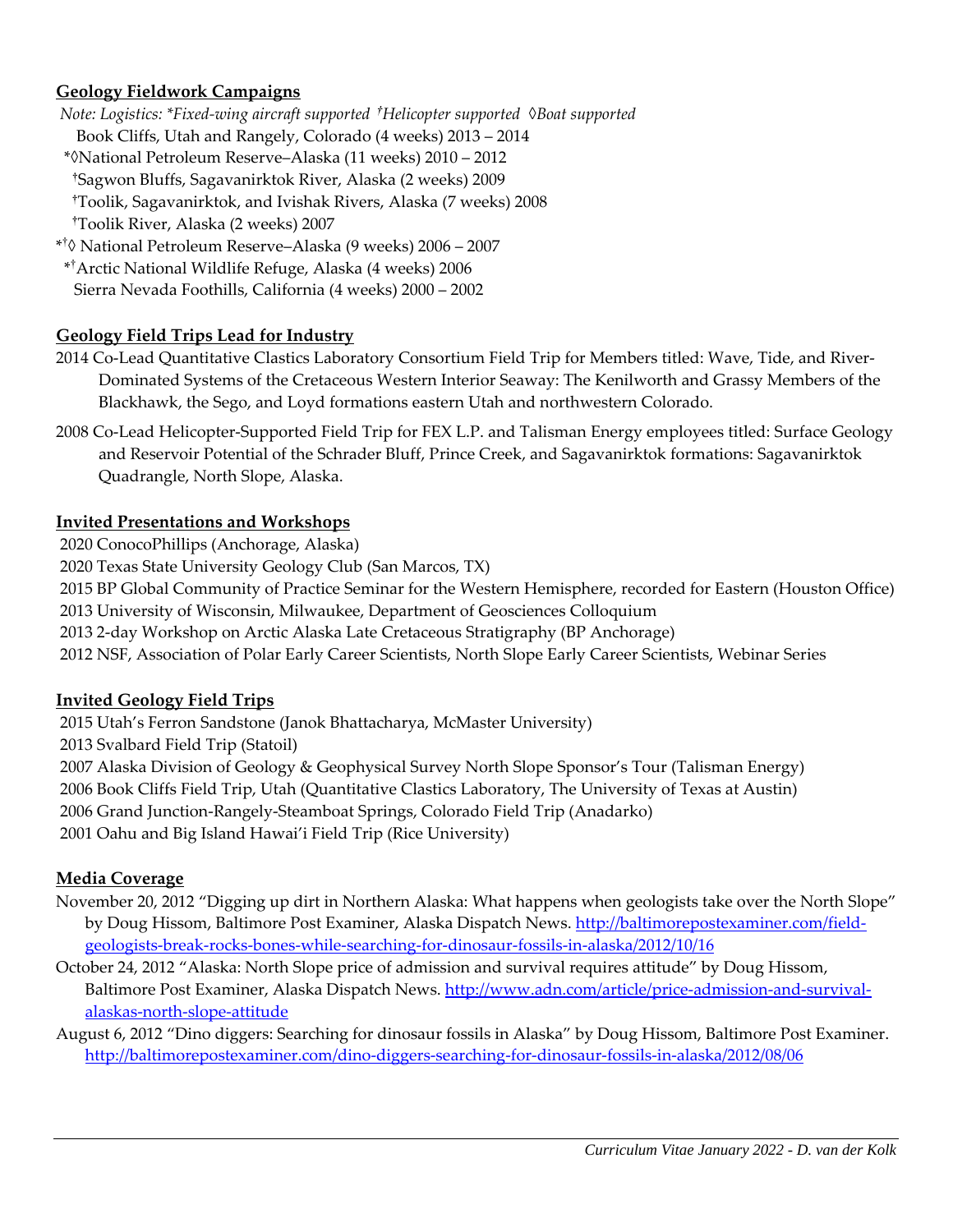## **Geology Fieldwork Campaigns**

- *Note: Logistics: \*Fixed-wing aircraft supported †Helicopter supported ◊Boat supported*
- Book Cliffs, Utah and Rangely, Colorado (4 weeks) 2013 2014
- \*◊National Petroleum Reserve–Alaska (11 weeks) 2010 2012 **†**Sagwon Bluffs, Sagavanirktok River, Alaska (2 weeks) 2009  **†**Toolik, Sagavanirktok, and Ivishak Rivers, Alaska (7 weeks) 2008  **†**Toolik River, Alaska (2 weeks) 2007
- \* † ◊ National Petroleum Reserve–Alaska (9 weeks) 2006 2007
- \* †Arctic National Wildlife Refuge, Alaska (4 weeks) 2006 Sierra Nevada Foothills, California (4 weeks) 2000 – 2002

### **Geology Field Trips Lead for Industry**

- 2014 Co-Lead Quantitative Clastics Laboratory Consortium Field Trip for Members titled: Wave, Tide, and River-Dominated Systems of the Cretaceous Western Interior Seaway: The Kenilworth and Grassy Members of the Blackhawk, the Sego, and Loyd formations eastern Utah and northwestern Colorado.
- 2008 Co-Lead Helicopter-Supported Field Trip for FEX L.P. and Talisman Energy employees titled: Surface Geology and Reservoir Potential of the Schrader Bluff, Prince Creek, and Sagavanirktok formations: Sagavanirktok Quadrangle, North Slope, Alaska.

### **Invited Presentations and Workshops**

2020 ConocoPhillips (Anchorage, Alaska)

2020 Texas State University Geology Club (San Marcos, TX)

2015 BP Global Community of Practice Seminar for the Western Hemisphere, recorded for Eastern (Houston Office) 2013 University of Wisconsin, Milwaukee, Department of Geosciences Colloquium

2013 2-day Workshop on Arctic Alaska Late Cretaceous Stratigraphy (BP Anchorage)

2012 NSF, Association of Polar Early Career Scientists, North Slope Early Career Scientists, Webinar Series

### **Invited Geology Field Trips**

2015 Utah's Ferron Sandstone (Janok Bhattacharya, McMaster University) 2013 Svalbard Field Trip (Statoil) 2007 Alaska Division of Geology & Geophysical Survey North Slope Sponsor's Tour (Talisman Energy) 2006 Book Cliffs Field Trip, Utah (Quantitative Clastics Laboratory, The University of Texas at Austin) 2006 Grand Junction-Rangely-Steamboat Springs, Colorado Field Trip (Anadarko)

2001 Oahu and Big Island Hawai'i Field Trip (Rice University)

### **Media Coverage**

- November 20, 2012 "Digging up dirt in Northern Alaska: What happens when geologists take over the North Slope" by Doug Hissom, Baltimore Post Examiner, Alaska Dispatch News. [http://baltimorepostexaminer.com/field](http://baltimorepostexaminer.com/field-geologists-break-rocks-bones-while-searching-for-dinosaur-fossils-in-alaska/2012/10/16)[geologists-break-rocks-bones-while-searching-for-dinosaur-fossils-in-alaska/2012/10/16](http://baltimorepostexaminer.com/field-geologists-break-rocks-bones-while-searching-for-dinosaur-fossils-in-alaska/2012/10/16)
- October 24, 2012 "Alaska: North Slope price of admission and survival requires attitude" by Doug Hissom, Baltimore Post Examiner, Alaska Dispatch News. [http://www.adn.com/article/price-admission-and-survival](http://www.adn.com/article/price-admission-and-survival-alaskas-north-slope-attitude)[alaskas-north-slope-attitude](http://www.adn.com/article/price-admission-and-survival-alaskas-north-slope-attitude)

August 6, 2012 "Dino diggers: Searching for dinosaur fossils in Alaska" by Doug Hissom, Baltimore Post Examiner. <http://baltimorepostexaminer.com/dino-diggers-searching-for-dinosaur-fossils-in-alaska/2012/08/06>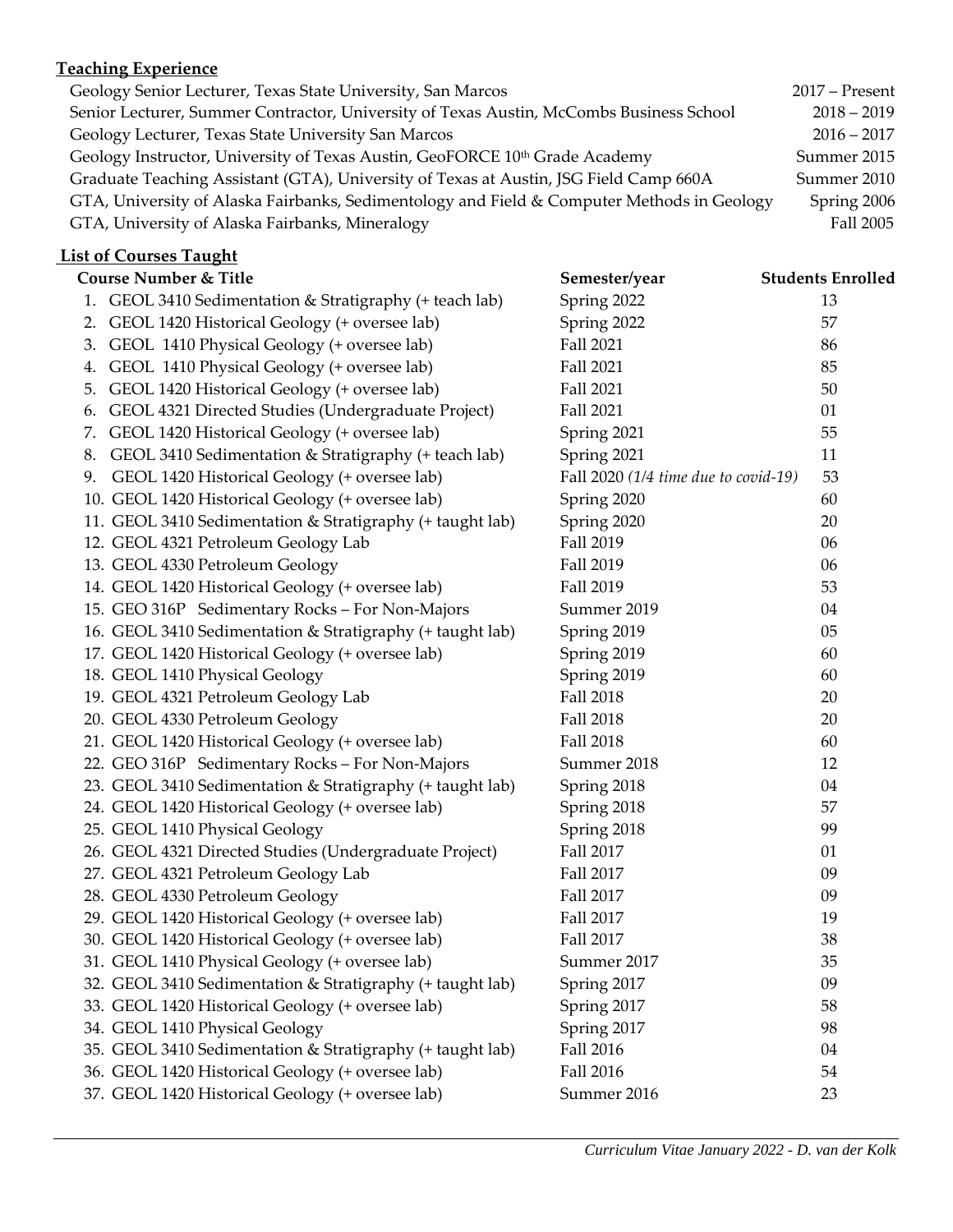## **Teaching Experience**

| Geology Senior Lecturer, Texas State University, San Marcos                                | $2017$ – Present |
|--------------------------------------------------------------------------------------------|------------------|
| Senior Lecturer, Summer Contractor, University of Texas Austin, McCombs Business School    | $2018 - 2019$    |
| Geology Lecturer, Texas State University San Marcos                                        | $2016 - 2017$    |
| Geology Instructor, University of Texas Austin, GeoFORCE 10 <sup>th</sup> Grade Academy    | Summer 2015      |
| Graduate Teaching Assistant (GTA), University of Texas at Austin, JSG Field Camp 660A      | Summer 2010      |
| GTA, University of Alaska Fairbanks, Sedimentology and Field & Computer Methods in Geology | Spring 2006      |
| GTA, University of Alaska Fairbanks, Mineralogy                                            | Fall 2005        |

# **List of Courses Taught**

|    | <b>Course Number &amp; Title</b>                          | Semester/year                          | <b>Students Enrolled</b> |
|----|-----------------------------------------------------------|----------------------------------------|--------------------------|
|    | 1. GEOL 3410 Sedimentation & Stratigraphy (+ teach lab)   | Spring 2022                            | 13                       |
|    | 2. GEOL 1420 Historical Geology (+ oversee lab)           | Spring 2022                            | 57                       |
|    | 3. GEOL 1410 Physical Geology (+ oversee lab)             | Fall 2021                              | 86                       |
|    | 4. GEOL 1410 Physical Geology (+ oversee lab)             | Fall 2021                              | 85                       |
| 5. | GEOL 1420 Historical Geology (+ oversee lab)              | Fall 2021                              | 50                       |
|    | 6. GEOL 4321 Directed Studies (Undergraduate Project)     | Fall 2021                              | 01                       |
|    | 7. GEOL 1420 Historical Geology (+ oversee lab)           | Spring 2021                            | 55                       |
|    | 8. GEOL 3410 Sedimentation & Stratigraphy (+ teach lab)   | Spring 2021                            | 11                       |
|    | 9. GEOL 1420 Historical Geology (+ oversee lab)           | Fall $2020$ (1/4 time due to covid-19) | 53                       |
|    | 10. GEOL 1420 Historical Geology (+ oversee lab)          | Spring 2020                            | 60                       |
|    | 11. GEOL 3410 Sedimentation & Stratigraphy (+ taught lab) | Spring 2020                            | 20                       |
|    | 12. GEOL 4321 Petroleum Geology Lab                       | Fall 2019                              | 06                       |
|    | 13. GEOL 4330 Petroleum Geology                           | Fall 2019                              | 06                       |
|    | 14. GEOL 1420 Historical Geology (+ oversee lab)          | Fall 2019                              | 53                       |
|    | 15. GEO 316P Sedimentary Rocks - For Non-Majors           | Summer 2019                            | 04                       |
|    | 16. GEOL 3410 Sedimentation & Stratigraphy (+ taught lab) | Spring 2019                            | 05                       |
|    | 17. GEOL 1420 Historical Geology (+ oversee lab)          | Spring 2019                            | 60                       |
|    | 18. GEOL 1410 Physical Geology                            | Spring 2019                            | 60                       |
|    | 19. GEOL 4321 Petroleum Geology Lab                       | <b>Fall 2018</b>                       | 20                       |
|    | 20. GEOL 4330 Petroleum Geology                           | Fall 2018                              | 20                       |
|    | 21. GEOL 1420 Historical Geology (+ oversee lab)          | Fall 2018                              | 60                       |
|    | 22. GEO 316P Sedimentary Rocks - For Non-Majors           | Summer 2018                            | 12                       |
|    | 23. GEOL 3410 Sedimentation & Stratigraphy (+ taught lab) | Spring 2018                            | 04                       |
|    | 24. GEOL 1420 Historical Geology (+ oversee lab)          | Spring 2018                            | 57                       |
|    | 25. GEOL 1410 Physical Geology                            | Spring 2018                            | 99                       |
|    | 26. GEOL 4321 Directed Studies (Undergraduate Project)    | Fall 2017                              | 01                       |
|    | 27. GEOL 4321 Petroleum Geology Lab                       | Fall 2017                              | 09                       |
|    | 28. GEOL 4330 Petroleum Geology                           | Fall 2017                              | 09                       |
|    | 29. GEOL 1420 Historical Geology (+ oversee lab)          | Fall 2017                              | 19                       |
|    | 30. GEOL 1420 Historical Geology (+ oversee lab)          | Fall 2017                              | 38                       |
|    | 31. GEOL 1410 Physical Geology (+ oversee lab)            | Summer 2017                            | 35                       |
|    | 32. GEOL 3410 Sedimentation & Stratigraphy (+ taught lab) | Spring 2017                            | 09                       |
|    | 33. GEOL 1420 Historical Geology (+ oversee lab)          | Spring 2017                            | 58                       |
|    | 34. GEOL 1410 Physical Geology                            | Spring 2017                            | 98                       |
|    | 35. GEOL 3410 Sedimentation & Stratigraphy (+ taught lab) | <b>Fall 2016</b>                       | 04                       |
|    | 36. GEOL 1420 Historical Geology (+ oversee lab)          | <b>Fall 2016</b>                       | 54                       |
|    | 37. GEOL 1420 Historical Geology (+ oversee lab)          | Summer 2016                            | 23                       |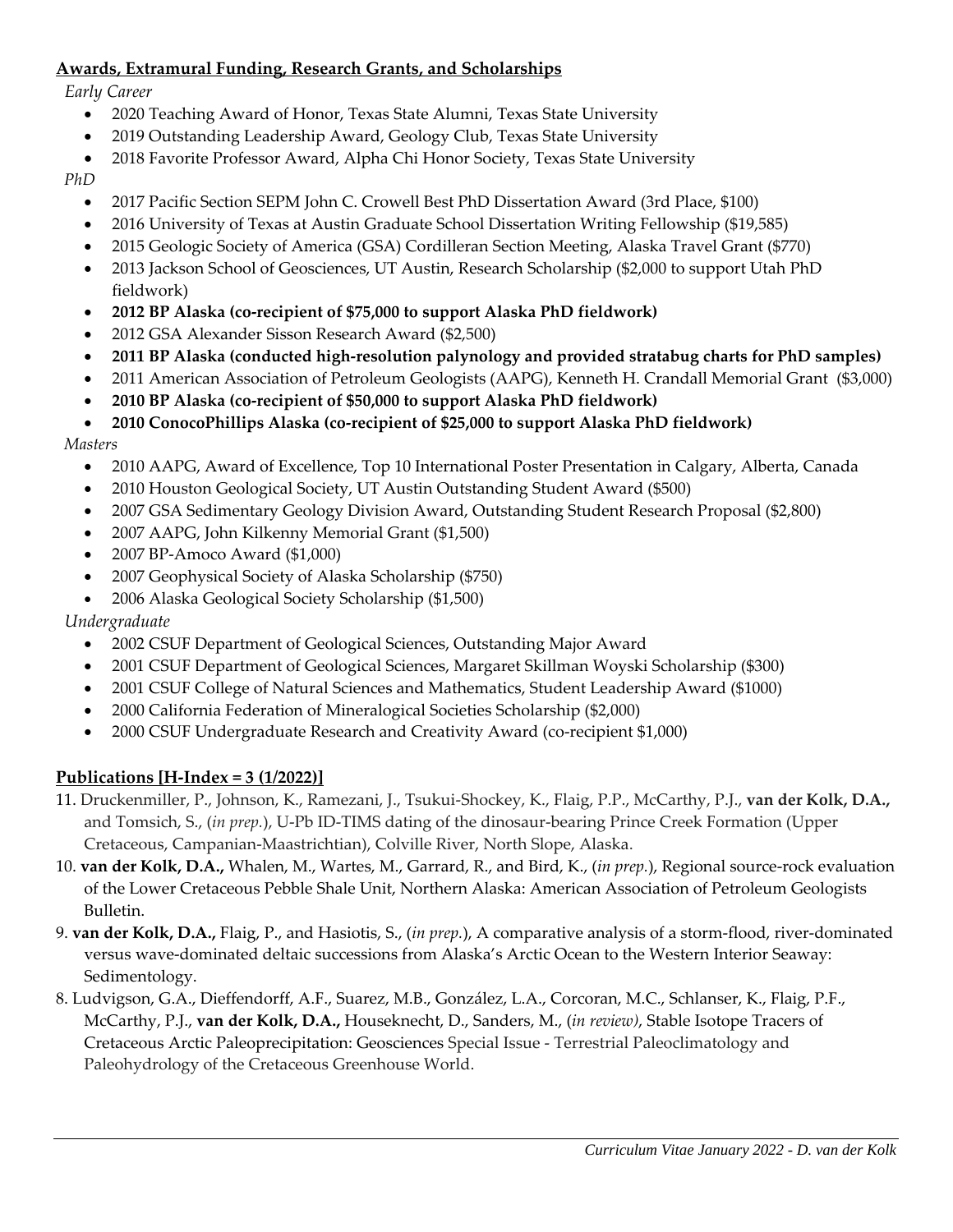## **Awards, Extramural Funding, Research Grants, and Scholarships**

#### *Early Career*

- 2020 Teaching Award of Honor, Texas State Alumni, Texas State University
- 2019 Outstanding Leadership Award, Geology Club, Texas State University
- 2018 Favorite Professor Award, Alpha Chi Honor Society, Texas State University

#### *PhD*

- 2017 Pacific Section SEPM John C. Crowell Best PhD Dissertation Award (3rd Place, \$100)
- 2016 University of Texas at Austin Graduate School Dissertation Writing Fellowship (\$19,585)
- 2015 Geologic Society of America (GSA) Cordilleran Section Meeting, Alaska Travel Grant (\$770)
- 2013 Jackson School of Geosciences, UT Austin, Research Scholarship (\$2,000 to support Utah PhD fieldwork)
- **2012 BP Alaska (co-recipient of \$75,000 to support Alaska PhD fieldwork)**
- 2012 GSA Alexander Sisson Research Award (\$2,500)
- **2011 BP Alaska (conducted high-resolution palynology and provided stratabug charts for PhD samples)**
- 2011 American Association of Petroleum Geologists (AAPG), Kenneth H. Crandall Memorial Grant (\$3,000)
- **2010 BP Alaska (co-recipient of \$50,000 to support Alaska PhD fieldwork)**
- **2010 ConocoPhillips Alaska (co-recipient of \$25,000 to support Alaska PhD fieldwork)**

#### *Masters*

- 2010 AAPG, Award of Excellence, Top 10 International Poster Presentation in Calgary, Alberta, Canada
- 2010 Houston Geological Society, UT Austin Outstanding Student Award (\$500)
- 2007 GSA Sedimentary Geology Division Award, Outstanding Student Research Proposal (\$2,800)
- 2007 AAPG, John Kilkenny Memorial Grant (\$1,500)
- 2007 BP-Amoco Award (\$1,000)
- 2007 Geophysical Society of Alaska Scholarship (\$750)
- 2006 Alaska Geological Society Scholarship (\$1,500)

## *Undergraduate*

- 2002 CSUF Department of Geological Sciences, Outstanding Major Award
- 2001 CSUF Department of Geological Sciences, Margaret Skillman Woyski Scholarship (\$300)
- 2001 CSUF College of Natural Sciences and Mathematics, Student Leadership Award (\$1000)
- 2000 California Federation of Mineralogical Societies Scholarship (\$2,000)
- 2000 CSUF Undergraduate Research and Creativity Award (co-recipient \$1,000)

## **Publications [H-Index = 3 (1/2022)]**

- 11. Druckenmiller, P., Johnson, K., Ramezani, J., Tsukui-Shockey, K., Flaig, P.P., McCarthy, P.J., **van der Kolk, D.A.,** and Tomsich, S., (*in prep.*), U-Pb ID-TIMS dating of the dinosaur-bearing Prince Creek Formation (Upper Cretaceous, Campanian-Maastrichtian), Colville River, North Slope, Alaska.
- 10. **van der Kolk, D.A.,** Whalen, M., Wartes, M., Garrard, R., and Bird, K., (*in prep.*), Regional source-rock evaluation of the Lower Cretaceous Pebble Shale Unit, Northern Alaska: American Association of Petroleum Geologists Bulletin.
- 9. **van der Kolk, D.A.,** Flaig, P., and Hasiotis, S., (*in prep.*), A comparative analysis of a storm-flood, river-dominated versus wave-dominated deltaic successions from Alaska's Arctic Ocean to the Western Interior Seaway: Sedimentology.
- 8. Ludvigson, G.A., Dieffendorff, A.F., Suarez, M.B., González, L.A., Corcoran, M.C., Schlanser, K., Flaig, P.F., McCarthy, P.J., **van der Kolk, D.A.,** Houseknecht, D., Sanders, M., (*in review)*, Stable Isotope Tracers of Cretaceous Arctic Paleoprecipitation: Geosciences Special Issue - Terrestrial Paleoclimatology and Paleohydrology of the Cretaceous Greenhouse World.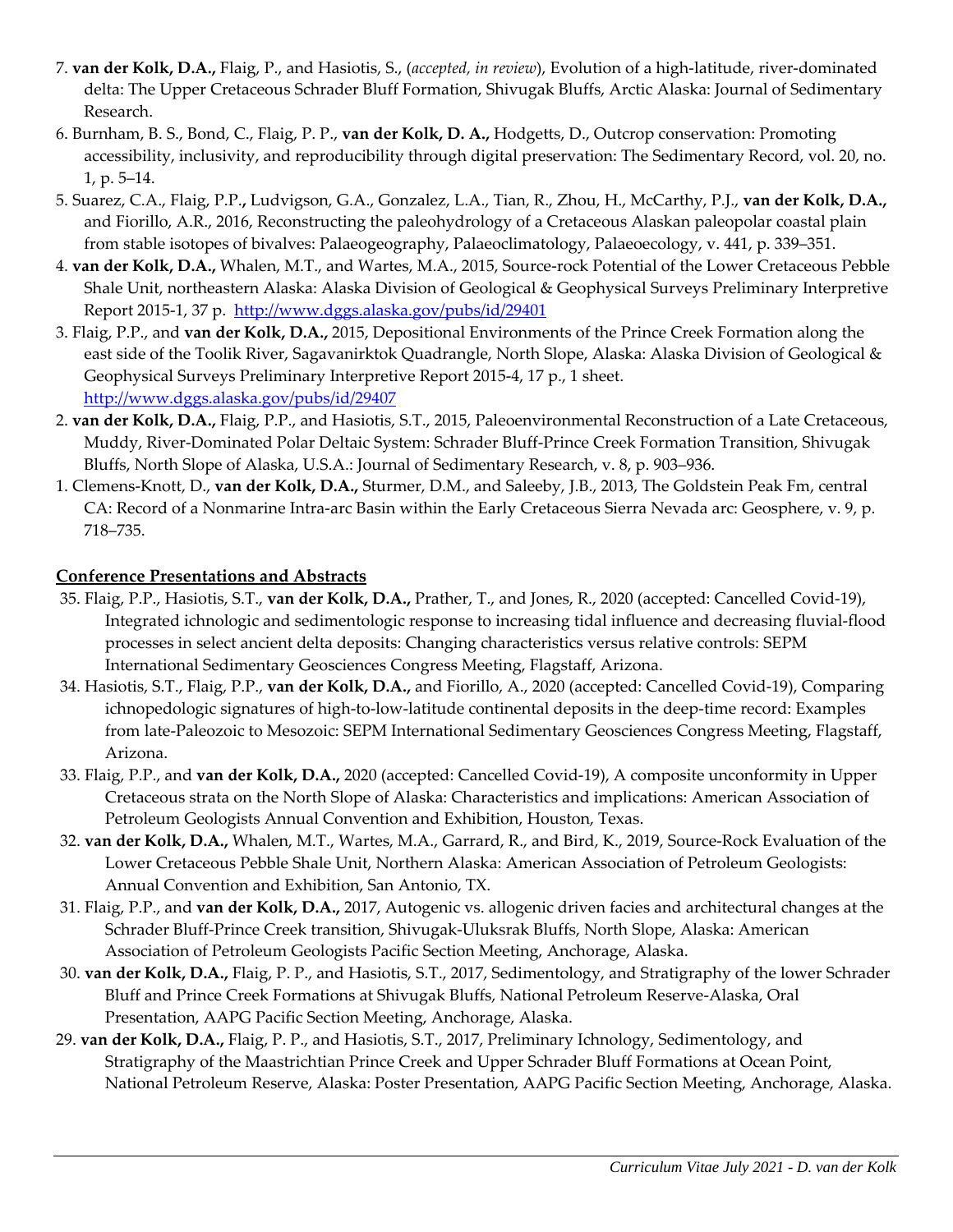- 7. **van der Kolk, D.A.,** Flaig, P., and Hasiotis, S., (*accepted, in review*), Evolution of a high-latitude, river-dominated delta: The Upper Cretaceous Schrader Bluff Formation, Shivugak Bluffs, Arctic Alaska: Journal of Sedimentary Research.
- 6. Burnham, B. S., Bond, C., Flaig, P. P., **van der Kolk, D. A.,** Hodgetts, D., Outcrop conservation: Promoting accessibility, inclusivity, and reproducibility through digital preservation: The Sedimentary Record, vol. 20, no. 1, p. 5–14.
- 5. Suarez, C.A., Flaig, P.P.**,** Ludvigson, G.A., Gonzalez, L.A., Tian, R., Zhou, H., McCarthy, P.J., **van der Kolk, D.A.,** and Fiorillo, A.R., 2016, Reconstructing the paleohydrology of a Cretaceous Alaskan paleopolar coastal plain from stable isotopes of bivalves: Palaeogeography, Palaeoclimatology, Palaeoecology, v. 441, p. 339–351.
- 4. **van der Kolk, D.A.,** Whalen, M.T., and Wartes, M.A., 2015, Source-rock Potential of the Lower Cretaceous Pebble Shale Unit, northeastern Alaska: Alaska Division of Geological & Geophysical Surveys Preliminary Interpretive Report 2015-1, 37 p.<http://www.dggs.alaska.gov/pubs/id/29401>
- 3. Flaig, P.P., and **van der Kolk, D.A.,** 2015, Depositional Environments of the Prince Creek Formation along the east side of the Toolik River, Sagavanirktok Quadrangle, North Slope, Alaska: Alaska Division of Geological & Geophysical Surveys Preliminary Interpretive Report 2015-4, 17 p., 1 sheet. <http://www.dggs.alaska.gov/pubs/id/29407>
- 2. **van der Kolk, D.A.,** Flaig, P.P., and Hasiotis, S.T., 2015, Paleoenvironmental Reconstruction of a Late Cretaceous, Muddy, River-Dominated Polar Deltaic System: Schrader Bluff-Prince Creek Formation Transition, Shivugak Bluffs, North Slope of Alaska, U.S.A.: Journal of Sedimentary Research, v. 8, p. 903–936.
- 1. Clemens-Knott, D., **van der Kolk, D.A.,** Sturmer, D.M., and Saleeby, J.B., 2013, The Goldstein Peak Fm, central CA: Record of a Nonmarine Intra-arc Basin within the Early Cretaceous Sierra Nevada arc: Geosphere, v. 9, p. 718–735.

## **Conference Presentations and Abstracts**

- 35. Flaig, P.P., Hasiotis, S.T., **van der Kolk, D.A.,** Prather, T., and Jones, R., 2020 (accepted: Cancelled Covid-19), Integrated ichnologic and sedimentologic response to increasing tidal influence and decreasing fluvial-flood processes in select ancient delta deposits: Changing characteristics versus relative controls: SEPM International Sedimentary Geosciences Congress Meeting, Flagstaff, Arizona.
- 34. Hasiotis, S.T., Flaig, P.P., **van der Kolk, D.A.,** and Fiorillo, A., 2020 (accepted: Cancelled Covid-19), Comparing ichnopedologic signatures of high-to-low-latitude continental deposits in the deep-time record: Examples from late-Paleozoic to Mesozoic: SEPM International Sedimentary Geosciences Congress Meeting, Flagstaff, Arizona.
- 33. Flaig, P.P., and **van der Kolk, D.A.,** 2020 (accepted: Cancelled Covid-19), A composite unconformity in Upper Cretaceous strata on the North Slope of Alaska: Characteristics and implications: American Association of Petroleum Geologists Annual Convention and Exhibition, Houston, Texas.
- 32. **van der Kolk, D.A.,** Whalen, M.T., Wartes, M.A., Garrard, R., and Bird, K., 2019, Source-Rock Evaluation of the Lower Cretaceous Pebble Shale Unit, Northern Alaska: American Association of Petroleum Geologists: Annual Convention and Exhibition, San Antonio, TX.
- 31. Flaig, P.P., and **van der Kolk, D.A.,** 2017, Autogenic vs. allogenic driven facies and architectural changes at the Schrader Bluff-Prince Creek transition, Shivugak-Uluksrak Bluffs, North Slope, Alaska: American Association of Petroleum Geologists Pacific Section Meeting, Anchorage, Alaska.
- 30. **van der Kolk, D.A.,** Flaig, P. P., and Hasiotis, S.T., 2017, Sedimentology, and Stratigraphy of the lower Schrader Bluff and Prince Creek Formations at Shivugak Bluffs, National Petroleum Reserve-Alaska, Oral Presentation, AAPG Pacific Section Meeting, Anchorage, Alaska.
- 29. **van der Kolk, D.A.,** Flaig, P. P., and Hasiotis, S.T., 2017, Preliminary Ichnology, Sedimentology, and Stratigraphy of the Maastrichtian Prince Creek and Upper Schrader Bluff Formations at Ocean Point, National Petroleum Reserve, Alaska: Poster Presentation, AAPG Pacific Section Meeting, Anchorage, Alaska.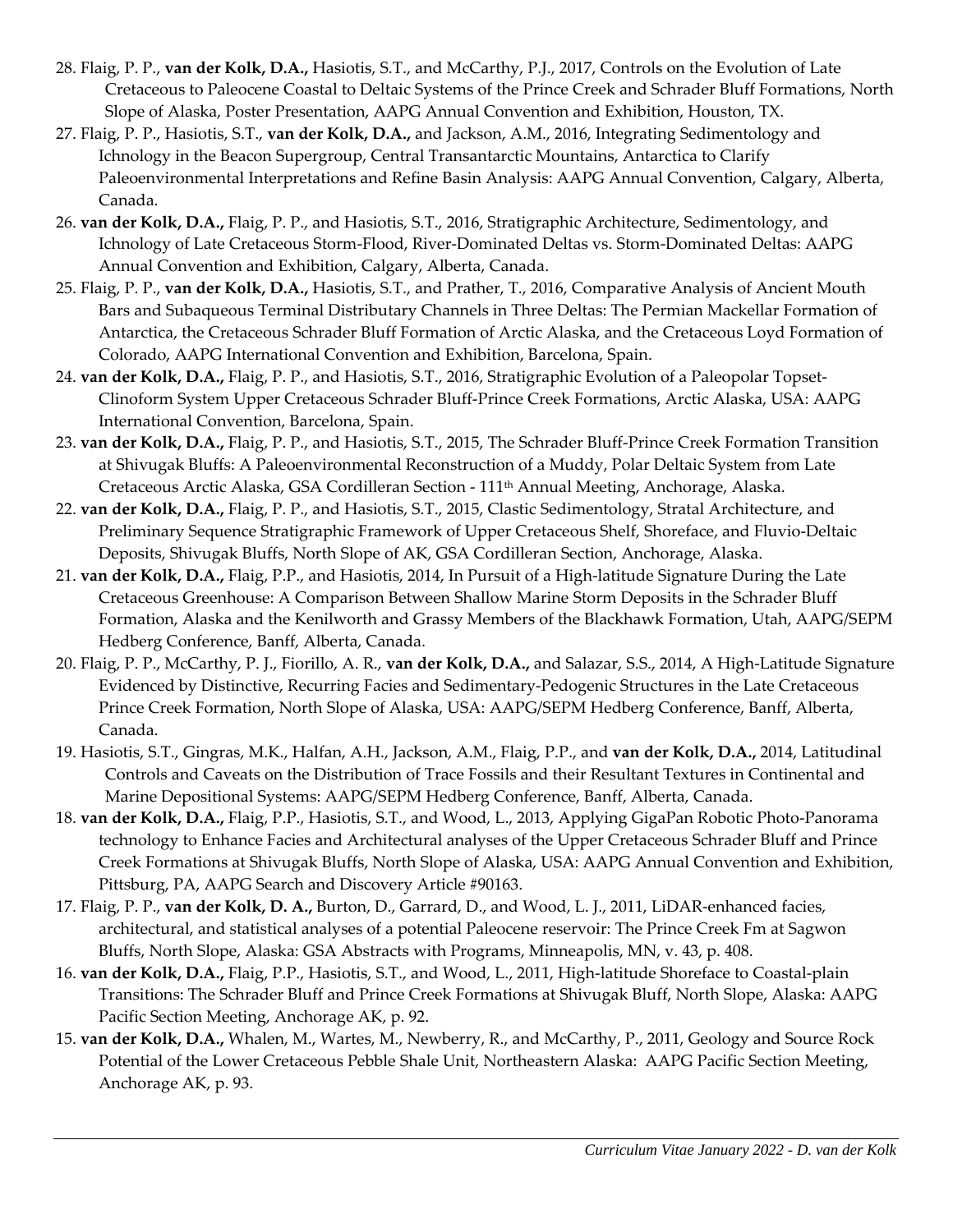- 28. Flaig, P. P., **van der Kolk, D.A.,** Hasiotis, S.T., and McCarthy, P.J., 2017, Controls on the Evolution of Late Cretaceous to Paleocene Coastal to Deltaic Systems of the Prince Creek and Schrader Bluff Formations, North Slope of Alaska, Poster Presentation, AAPG Annual Convention and Exhibition, Houston, TX.
- 27. Flaig, P. P., Hasiotis, S.T., **van der Kolk, D.A.,** and Jackson, A.M., 2016, Integrating Sedimentology and Ichnology in the Beacon Supergroup, Central Transantarctic Mountains, Antarctica to Clarify Paleoenvironmental Interpretations and Refine Basin Analysis: AAPG Annual Convention, Calgary, Alberta, Canada.
- 26. **van der Kolk, D.A.,** Flaig, P. P., and Hasiotis, S.T., 2016, Stratigraphic Architecture, Sedimentology, and Ichnology of Late Cretaceous Storm-Flood, River-Dominated Deltas vs. Storm-Dominated Deltas: AAPG Annual Convention and Exhibition, Calgary, Alberta, Canada.
- 25. Flaig, P. P., **van der Kolk, D.A.,** Hasiotis, S.T., and Prather, T., 2016, Comparative Analysis of Ancient Mouth Bars and Subaqueous Terminal Distributary Channels in Three Deltas: The Permian Mackellar Formation of Antarctica, the Cretaceous Schrader Bluff Formation of Arctic Alaska, and the Cretaceous Loyd Formation of Colorado, AAPG International Convention and Exhibition, Barcelona, Spain.
- 24. **van der Kolk, D.A.,** Flaig, P. P., and Hasiotis, S.T., 2016, Stratigraphic Evolution of a Paleopolar Topset-Clinoform System Upper Cretaceous Schrader Bluff-Prince Creek Formations, Arctic Alaska, USA: AAPG International Convention, Barcelona, Spain.
- 23. **van der Kolk, D.A.,** Flaig, P. P., and Hasiotis, S.T., 2015, The Schrader Bluff-Prince Creek Formation Transition at Shivugak Bluffs: A Paleoenvironmental Reconstruction of a Muddy, Polar Deltaic System from Late Cretaceous Arctic Alaska, GSA Cordilleran Section - 111th Annual Meeting, Anchorage, Alaska.
- 22. **van der Kolk, D.A.,** Flaig, P. P., and Hasiotis, S.T., 2015, Clastic Sedimentology, Stratal Architecture, and Preliminary Sequence Stratigraphic Framework of Upper Cretaceous Shelf, Shoreface, and Fluvio-Deltaic Deposits, Shivugak Bluffs, North Slope of AK, GSA Cordilleran Section, Anchorage, Alaska.
- 21. **van der Kolk, D.A.,** Flaig, P.P., and Hasiotis, 2014, In Pursuit of a High-latitude Signature During the Late Cretaceous Greenhouse: A Comparison Between Shallow Marine Storm Deposits in the Schrader Bluff Formation, Alaska and the Kenilworth and Grassy Members of the Blackhawk Formation, Utah, AAPG/SEPM Hedberg Conference, Banff, Alberta, Canada.
- 20. Flaig, P. P., McCarthy, P. J., Fiorillo, A. R., **van der Kolk, D.A.,** and Salazar, S.S., 2014, A High-Latitude Signature Evidenced by Distinctive, Recurring Facies and Sedimentary-Pedogenic Structures in the Late Cretaceous Prince Creek Formation, North Slope of Alaska, USA: AAPG/SEPM Hedberg Conference, Banff, Alberta, Canada.
- 19. Hasiotis, S.T., Gingras, M.K., Halfan, A.H., Jackson, A.M., Flaig, P.P., and **van der Kolk, D.A.,** 2014, Latitudinal Controls and Caveats on the Distribution of Trace Fossils and their Resultant Textures in Continental and Marine Depositional Systems: AAPG/SEPM Hedberg Conference, Banff, Alberta, Canada.
- 18. **van der Kolk, D.A.,** Flaig, P.P., Hasiotis, S.T., and Wood, L., 2013, Applying GigaPan Robotic Photo-Panorama technology to Enhance Facies and Architectural analyses of the Upper Cretaceous Schrader Bluff and Prince Creek Formations at Shivugak Bluffs, North Slope of Alaska, USA: AAPG Annual Convention and Exhibition, Pittsburg, PA, AAPG Search and Discovery Article #90163.
- 17. Flaig, P. P., **van der Kolk, D. A.,** Burton, D., Garrard, D., and Wood, L. J., 2011, LiDAR-enhanced facies, architectural, and statistical analyses of a potential Paleocene reservoir: The Prince Creek Fm at Sagwon Bluffs, North Slope, Alaska: GSA Abstracts with Programs, Minneapolis, MN, v. 43, p. 408.
- 16. **van der Kolk, D.A.,** Flaig, P.P., Hasiotis, S.T., and Wood, L., 2011, High-latitude Shoreface to Coastal-plain Transitions: The Schrader Bluff and Prince Creek Formations at Shivugak Bluff, North Slope, Alaska: AAPG Pacific Section Meeting, Anchorage AK, p. 92.
- 15. **van der Kolk, D.A.,** Whalen, M., Wartes, M., Newberry, R., and McCarthy, P., 2011, Geology and Source Rock Potential of the Lower Cretaceous Pebble Shale Unit, Northeastern Alaska: AAPG Pacific Section Meeting, Anchorage AK, p. 93.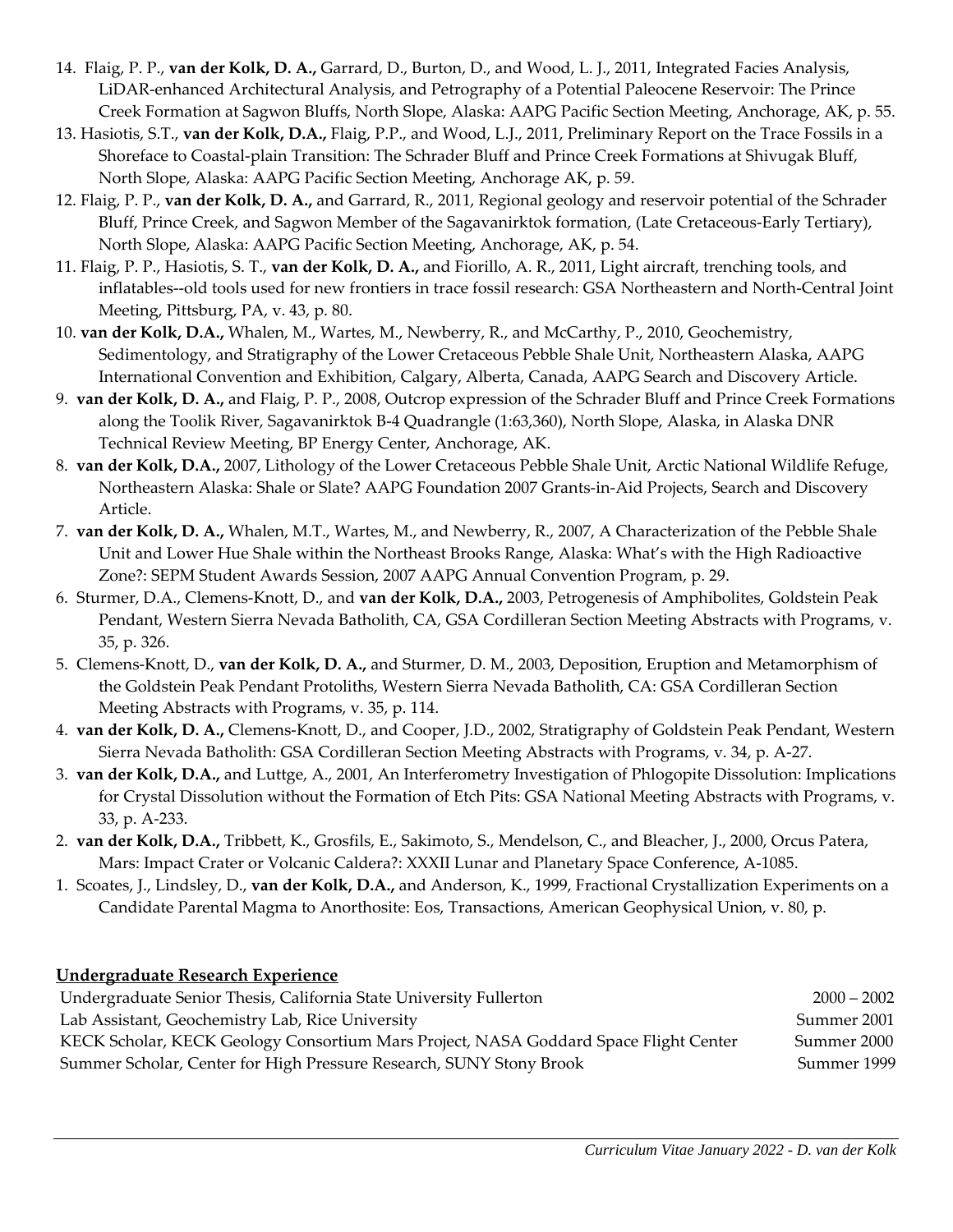- 14. Flaig, P. P., **van der Kolk, D. A.,** Garrard, D., Burton, D., and Wood, L. J., 2011, Integrated Facies Analysis, LiDAR-enhanced Architectural Analysis, and Petrography of a Potential Paleocene Reservoir: The Prince Creek Formation at Sagwon Bluffs, North Slope, Alaska: AAPG Pacific Section Meeting, Anchorage, AK, p. 55.
- 13. Hasiotis, S.T., **van der Kolk, D.A.,** Flaig, P.P., and Wood, L.J., 2011, Preliminary Report on the Trace Fossils in a Shoreface to Coastal-plain Transition: The Schrader Bluff and Prince Creek Formations at Shivugak Bluff, North Slope, Alaska: AAPG Pacific Section Meeting, Anchorage AK, p. 59.
- 12. Flaig, P. P., **van der Kolk, D. A.,** and Garrard, R., 2011, Regional geology and reservoir potential of the Schrader Bluff, Prince Creek, and Sagwon Member of the Sagavanirktok formation, (Late Cretaceous-Early Tertiary), North Slope, Alaska: AAPG Pacific Section Meeting, Anchorage, AK, p. 54.
- 11. Flaig, P. P., Hasiotis, S. T., **van der Kolk, D. A.,** and Fiorillo, A. R., 2011, Light aircraft, trenching tools, and inflatables--old tools used for new frontiers in trace fossil research: GSA Northeastern and North-Central Joint Meeting, Pittsburg, PA, v. 43, p. 80.
- 10. **van der Kolk, D.A.,** Whalen, M., Wartes, M., Newberry, R., and McCarthy, P., 2010, Geochemistry, Sedimentology, and Stratigraphy of the Lower Cretaceous Pebble Shale Unit, Northeastern Alaska, AAPG International Convention and Exhibition, Calgary, Alberta, Canada, AAPG Search and Discovery Article.
- 9. **van der Kolk, D. A.,** and Flaig, P. P., 2008, Outcrop expression of the Schrader Bluff and Prince Creek Formations along the Toolik River, Sagavanirktok B-4 Quadrangle (1:63,360), North Slope, Alaska, in Alaska DNR Technical Review Meeting, BP Energy Center, Anchorage, AK.
- 8. **van der Kolk, D.A.,** 2007, Lithology of the Lower Cretaceous Pebble Shale Unit, Arctic National Wildlife Refuge, Northeastern Alaska: Shale or Slate? AAPG Foundation 2007 Grants-in-Aid Projects, Search and Discovery Article.
- 7. **van der Kolk, D. A.,** Whalen, M.T., Wartes, M., and Newberry, R., 2007, A Characterization of the Pebble Shale Unit and Lower Hue Shale within the Northeast Brooks Range, Alaska: What's with the High Radioactive Zone?: SEPM Student Awards Session, 2007 AAPG Annual Convention Program, p. 29.
- 6. Sturmer, D.A., Clemens-Knott, D., and **van der Kolk, D.A.,** 2003, Petrogenesis of Amphibolites, Goldstein Peak Pendant, Western Sierra Nevada Batholith, CA, GSA Cordilleran Section Meeting Abstracts with Programs, v. 35, p. 326.
- 5. Clemens-Knott, D., **van der Kolk, D. A.,** and Sturmer, D. M., 2003, Deposition, Eruption and Metamorphism of the Goldstein Peak Pendant Protoliths, Western Sierra Nevada Batholith, CA: GSA Cordilleran Section Meeting Abstracts with Programs, v. 35, p. 114.
- 4. **van der Kolk, D. A.,** Clemens-Knott, D., and Cooper, J.D., 2002, Stratigraphy of Goldstein Peak Pendant, Western Sierra Nevada Batholith: GSA Cordilleran Section Meeting Abstracts with Programs, v. 34, p. A-27.
- 3. **van der Kolk, D.A.,** and Luttge, A., 2001, An Interferometry Investigation of Phlogopite Dissolution: Implications for Crystal Dissolution without the Formation of Etch Pits: GSA National Meeting Abstracts with Programs, v. 33, p. A-233.
- 2. **van der Kolk, D.A.,** Tribbett, K., Grosfils, E., Sakimoto, S., Mendelson, C., and Bleacher, J., 2000, Orcus Patera, Mars: Impact Crater or Volcanic Caldera?: XXXII Lunar and Planetary Space Conference, A-1085.
- 1. Scoates, J., Lindsley, D., **van der Kolk, D.A.,** and Anderson, K., 1999, Fractional Crystallization Experiments on a Candidate Parental Magma to Anorthosite: Eos, Transactions, American Geophysical Union, v. 80, p.

| <u> Undergraduate Research Experience</u>                                            |               |
|--------------------------------------------------------------------------------------|---------------|
| Undergraduate Senior Thesis, California State University Fullerton                   | $2000 - 2002$ |
| Lab Assistant, Geochemistry Lab, Rice University                                     | Summer 2001   |
| KECK Scholar, KECK Geology Consortium Mars Project, NASA Goddard Space Flight Center | Summer 2000   |
| Summer Scholar, Center for High Pressure Research, SUNY Stony Brook                  | Summer 1999   |